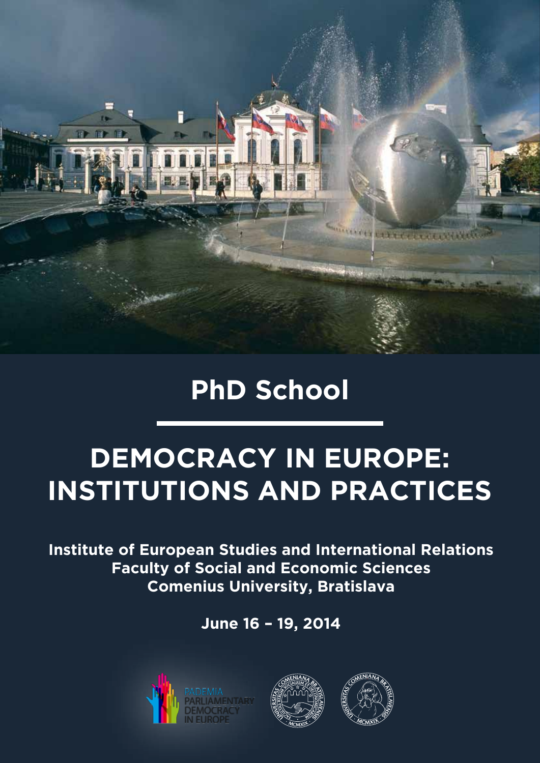

# **PhD School**

# **DEMOCRACY IN EUROPE: INSTITUTIONS AND PRACTICES**

**Institute of European Studies and International Relations Faculty of Social and Economic Sciences Comenius University, Bratislava**

**June 16 – 19, 2014**





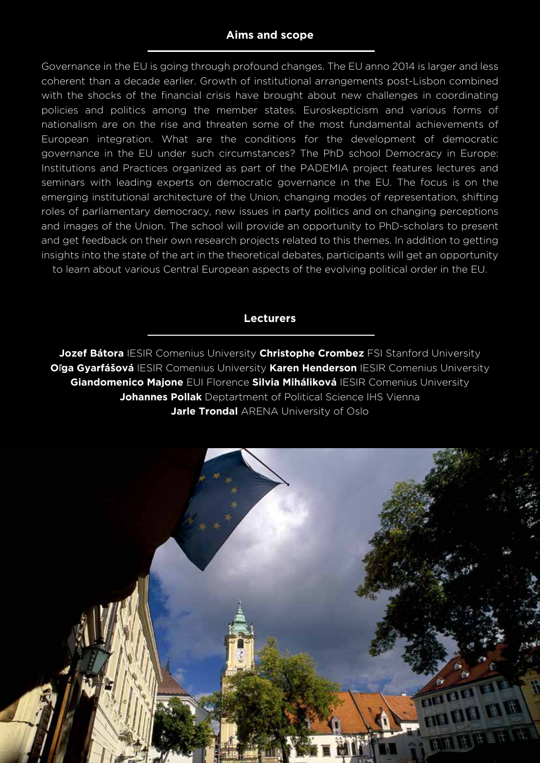# **Aims and scope**

Governance in the EU is going through profound changes. The EU anno 2014 is larger and less coherent than a decade earlier. Growth of institutional arrangements post-Lisbon combined with the shocks of the financial crisis have brought about new challenges in coordinating policies and politics among the member states. Euroskepticism and various forms of nationalism are on the rise and threaten some of the most fundamental achievements of European integration. What are the conditions for the development of democratic governance in the EU under such circumstances? The PhD school Democracy in Europe: Institutions and Practices organized as part of the PADEMIA project features lectures and seminars with leading experts on democratic governance in the EU. The focus is on the emerging institutional architecture of the Union, changing modes of representation, shifting roles of parliamentary democracy, new issues in party politics and on changing perceptions and images of the Union. The school will provide an opportunity to PhD-scholars to present and get feedback on their own research projects related to this themes. In addition to getting insights into the state of the art in the theoretical debates, participants will get an opportunity

to learn about various Central European aspects of the evolving political order in the EU.

#### **Lecturers**

**Jozef Bátora** IESIR Comenius University **Christophe Crombez** FSI Stanford University **O**ľ**ga Gyarfášová** IESIR Comenius University **Karen Henderson** IESIR Comenius University **Giandomenico Majone** EUI Florence **Silvia Miháliková** IESIR Comenius University **Johannes Pollak** Deptartment of Political Science IHS Vienna **Jarle Trondal** ARENA University of Oslo

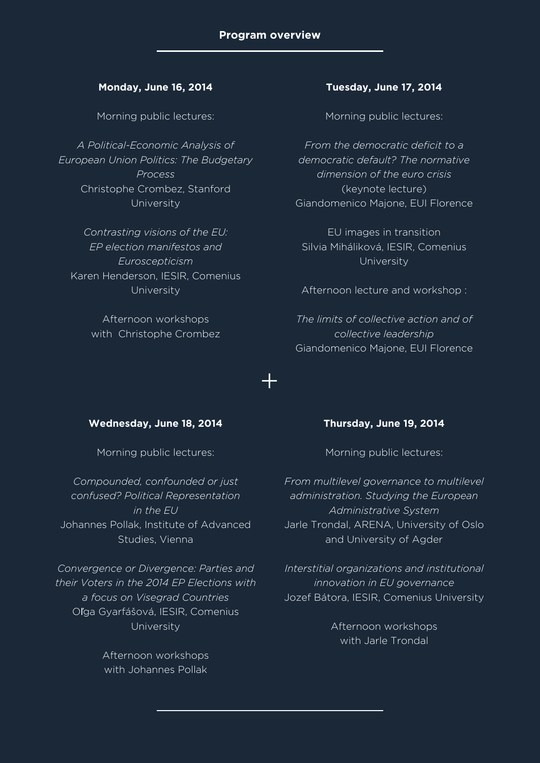+

#### **Monday, June 16, 2014**

Morning public lectures:

*A Political-Economic Analysis of European Union Politics: The Budgetary Process* Christophe Crombez, Stanford University

*Contrasting visions of the EU: EP election manifestos and Euroscepticism* Karen Henderson, IESIR, Comenius University

> Afternoon workshops with Christophe Crombez

#### **Tuesday, June 17, 2014**

Morning public lectures:

*From the democratic deficit to a democratic default? The normative dimension of the euro crisis* (keynote lecture) Giandomenico Majone, EUI Florence

EU images in transition Silvia Miháliková, IESIR, Comenius University

Afternoon lecture and workshop :

*The limits of collective action and of collective leadership* Giandomenico Majone, EUI Florence

#### **Wednesday, June 18, 2014**

Morning public lectures:

*Compounded, confounded or just confused? Political Representation in the EU* Johannes Pollak, Institute of Advanced Studies, Vienna

*Convergence or Divergence: Parties and their Voters in the 2014 EP Elections with a focus on Visegrad Countries* Oľga Gyarfášová, IESIR, Comenius University

> Afternoon workshops with Johannes Pollak

#### **Thursday, June 19, 2014**

Morning public lectures:

*From multilevel governance to multilevel administration. Studying the European Administrative System* Jarle Trondal, ARENA, University of Oslo and University of Agder

*Interstitial organizations and institutional innovation in EU governance* Jozef Bátora, IESIR, Comenius University

> Afternoon workshops with Jarle Trondal